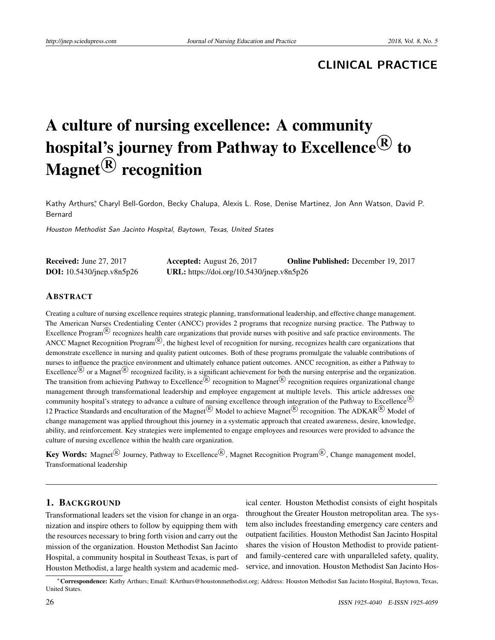**CLINICAL PRACTICE**

# A culture of nursing excellence: A community hospital's journey from Pathway to Excellence $^{\circledR}$  to  $\mathbf{Magnet}^{\overline{\mathbf{\mathbb{R}}}}$  recognition

Kathy Arthurs\* Charyl Bell-Gordon, Becky Chalupa, Alexis L. Rose, Denise Martinez, Jon Ann Watson, David P. Bernard

Houston Methodist San Jacinto Hospital, Baytown, Texas, United States

| <b>Received:</b> June 27, 2017   | <b>Accepted:</b> August 26, 2017          | <b>Online Published:</b> December 19, 2017 |
|----------------------------------|-------------------------------------------|--------------------------------------------|
| <b>DOI:</b> 10.5430/jnep.v8n5p26 | URL: https://doi.org/10.5430/jnep.v8n5p26 |                                            |

#### ABSTRACT

Creating a culture of nursing excellence requires strategic planning, transformational leadership, and effective change management. The American Nurses Credentialing Center (ANCC) provides 2 programs that recognize nursing practice. The Pathway to Excellence Program<sup>®</sup> recognizes health care organizations that provide nurses with positive and safe practice environments. The ANCC Magnet Recognition Program<sup>®</sup>, the highest level of recognition for nursing, recognizes health care organizations that demonstrate excellence in nursing and quality patient outcomes. Both of these programs promulgate the valuable contributions of nurses to influence the practice environment and ultimately enhance patient outcomes. ANCC recognition, as either a Pathway to Excellence<sup>®</sup> or a Magnet<sup>®</sup> recognized facility, is a significant achievement for both the nursing enterprise and the organization. The transition from achieving Pathway to Excellence  $\overline{B}$  recognition to Magnet  $\overline{B}$  recognition requires organizational change management through transformational leadership and employee engagement at multiple levels. This article addresses one community hospital's strategy to advance a culture of nursing excellence through integration of the Pathway to Excellence<sup>( $\&$ )</sup> 12 Practice Standards and enculturation of the Magnet<sup>®</sup> Model to achieve Magnet<sup>®</sup> recognition. The ADKAR<sup>®</sup> Model of change management was applied throughout this journey in a systematic approach that created awareness, desire, knowledge, ability, and reinforcement. Key strategies were implemented to engage employees and resources were provided to advance the culture of nursing excellence within the health care organization.

**Key Words:** Magnet<sup>(®</sup> Journey, Pathway to Excellence<sup>(®</sup>), Magnet Recognition Program<sup>(®)</sup>, Change management model, Transformational leadership

#### 1. BACKGROUND

Transformational leaders set the vision for change in an organization and inspire others to follow by equipping them with the resources necessary to bring forth vision and carry out the mission of the organization. Houston Methodist San Jacinto Hospital, a community hospital in Southeast Texas, is part of Houston Methodist, a large health system and academic medical center. Houston Methodist consists of eight hospitals throughout the Greater Houston metropolitan area. The system also includes freestanding emergency care centers and outpatient facilities. Houston Methodist San Jacinto Hospital shares the vision of Houston Methodist to provide patientand family-centered care with unparalleled safety, quality, service, and innovation. Houston Methodist San Jacinto Hos-

<sup>∗</sup>Correspondence: Kathy Arthurs; Email: KArthurs@houstonmethodist.org; Address: Houston Methodist San Jacinto Hospital, Baytown, Texas, United States.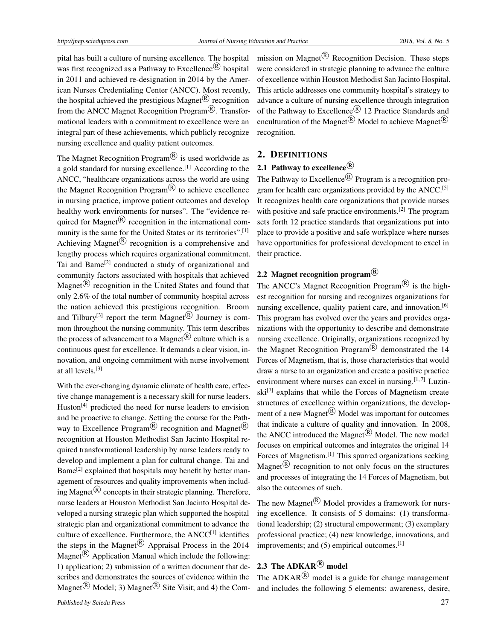pital has built a culture of nursing excellence. The hospital was first recognized as a Pathway to Excellence  $\mathbb{R}$  hospital in 2011 and achieved re-designation in 2014 by the American Nurses Credentialing Center (ANCC). Most recently, the hospital achieved the prestigious Magnet<sup>®</sup> recognition from the ANCC Magnet Recognition Program<sup>®</sup>. Transformational leaders with a commitment to excellence were an integral part of these achievements, which publicly recognize nursing excellence and quality patient outcomes.

The Magnet Recognition Program $^{\circledR}$  is used worldwide as a gold standard for nursing excellence.[\[1\]](#page-10-0) According to the ANCC, "healthcare organizations across the world are using the Magnet Recognition Program<sup>®</sup> to achieve excellence in nursing practice, improve patient outcomes and develop healthy work environments for nurses". The "evidence required for Magnet<sup>®</sup> recognition in the international community is the same for the United States or its territories".[\[1\]](#page-10-0) Achieving Magnet $\overline{R}$  recognition is a comprehensive and lengthy process which requires organizational commitment. Tai and Bame<sup>[\[2\]](#page-10-1)</sup> conducted a study of organizational and community factors associated with hospitals that achieved Magnet $\overline{R}$  recognition in the United States and found that only 2.6% of the total number of community hospital across the nation achieved this prestigious recognition. Broom and Tilbury<sup>[\[3\]](#page-10-2)</sup> report the term Magnet<sup>®</sup> Journey is common throughout the nursing community. This term describes the process of advancement to a Magnet<sup>( $\overline{R}$ </sup> culture which is a continuous quest for excellence. It demands a clear vision, innovation, and ongoing commitment with nurse involvement at all levels.[\[3\]](#page-10-2)

With the ever-changing dynamic climate of health care, effective change management is a necessary skill for nurse leaders. Huston $[4]$  predicted the need for nurse leaders to envision and be proactive to change. Setting the course for the Pathway to Excellence Program<sup>®</sup> recognition and Magnet<sup>®</sup> recognition at Houston Methodist San Jacinto Hospital required transformational leadership by nurse leaders ready to develop and implement a plan for cultural change. Tai and Bame<sup>[\[2\]](#page-10-1)</sup> explained that hospitals may benefit by better management of resources and quality improvements when including Magnet<sup>®</sup> concepts in their strategic planning. Therefore, nurse leaders at Houston Methodist San Jacinto Hospital developed a nursing strategic plan which supported the hospital strategic plan and organizational commitment to advance the culture of excellence. Furthermore, the ANCC<sup>[\[1\]](#page-10-0)</sup> identifies the steps in the Magnet<sup> $(R)$ </sup> Appraisal Process in the 2014 Magnet<sup>( $\&$ </sup>) Application Manual which include the following: 1) application; 2) submission of a written document that describes and demonstrates the sources of evidence within the Magnet<sup>( $\overline{R}$ </sup> Model; 3) Magnet<sup>( $\overline{R}$ </sup> Site Visit; and 4) the Commission on Magnet $\left( \mathbb{R} \right)$  Recognition Decision. These steps were considered in strategic planning to advance the culture of excellence within Houston Methodist San Jacinto Hospital. This article addresses one community hospital's strategy to advance a culture of nursing excellence through integration of the Pathway to Excellence<sup>®</sup> 12 Practice Standards and enculturation of the Magnet<sup>( $\overline{R}$ )</sup> Model to achieve Magnet<sup>( $\overline{R}$ )</sup> recognition.

#### 2. DEFINITIONS

#### 2.1 Pathway to excellence $(\mathbf{R})$

The Pathway to Excellence<sup> $\circledR$ </sup> Program is a recognition pro-gram for health care organizations provided by the ANCC.<sup>[\[5\]](#page-10-4)</sup> It recognizes health care organizations that provide nurses with positive and safe practice environments.<sup>[\[2\]](#page-10-1)</sup> The program sets forth 12 practice standards that organizations put into place to provide a positive and safe workplace where nurses have opportunities for professional development to excel in their practice.

#### 2.2 Magnet recognition program $\mathbb{R}$

The ANCC's Magnet Recognition Program $\overline{R}$  is the highest recognition for nursing and recognizes organizations for nursing excellence, quality patient care, and innovation.<sup>[\[6\]](#page-10-5)</sup> This program has evolved over the years and provides organizations with the opportunity to describe and demonstrate nursing excellence. Originally, organizations recognized by the Magnet Recognition Program<sup>®</sup> demonstrated the 14 Forces of Magnetism, that is, those characteristics that would draw a nurse to an organization and create a positive practice environment where nurses can excel in nursing.  $[1, 7]$  $[1, 7]$  $[1, 7]$  Luzin-ski<sup>[\[7\]](#page-11-0)</sup> explains that while the Forces of Magnetism create structures of excellence within organizations, the development of a new Magnet $\left(\mathbb{R}\right)$  Model was important for outcomes that indicate a culture of quality and innovation. In 2008, the ANCC introduced the Magnet $\mathbb{R}^{\mathbb{R}}$  Model. The new model focuses on empirical outcomes and integrates the original 14 Forces of Magnetism.[\[1\]](#page-10-0) This spurred organizations seeking Magnet $\overline{R}$  recognition to not only focus on the structures and processes of integrating the 14 Forces of Magnetism, but also the outcomes of such.

The new Magnet $\left(\mathbb{R}\right)$  Model provides a framework for nursing excellence. It consists of 5 domains: (1) transformational leadership; (2) structural empowerment; (3) exemplary professional practice; (4) new knowledge, innovations, and improvements; and (5) empirical outcomes.<sup>[\[1\]](#page-10-0)</sup>

## 2.3 The ADKAR $\mathbb{\mathbb{R}}$  model

The ADKAR $\mathbb{R}$  model is a guide for change management and includes the following 5 elements: awareness, desire,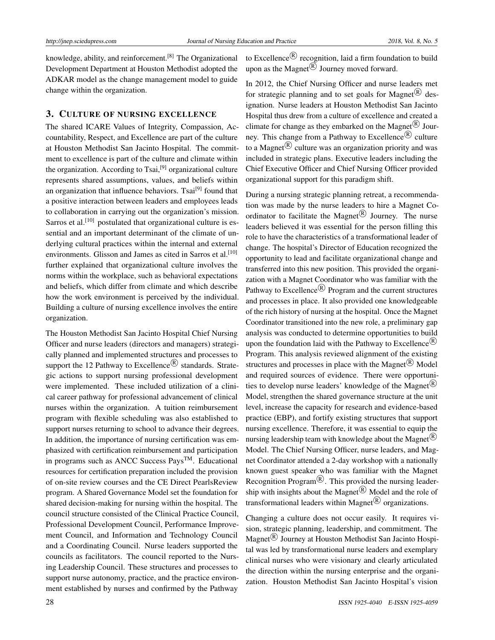knowledge, ability, and reinforcement.[\[8\]](#page-11-1) The Organizational Development Department at Houston Methodist adopted the ADKAR model as the change management model to guide change within the organization.

#### 3. CULTURE OF NURSING EXCELLENCE

The shared ICARE Values of Integrity, Compassion, Accountability, Respect, and Excellence are part of the culture at Houston Methodist San Jacinto Hospital. The commitment to excellence is part of the culture and climate within the organization. According to Tsai, $[9]$  organizational culture represents shared assumptions, values, and beliefs within an organization that influence behaviors. Tsai<sup>[\[9\]](#page-11-2)</sup> found that a positive interaction between leaders and employees leads to collaboration in carrying out the organization's mission. Sarros et al.<sup>[\[10\]](#page-11-3)</sup> postulated that organizational culture is essential and an important determinant of the climate of underlying cultural practices within the internal and external environments. Glisson and James as cited in Sarros et al.<sup>[\[10\]](#page-11-3)</sup> further explained that organizational culture involves the norms within the workplace, such as behavioral expectations and beliefs, which differ from climate and which describe how the work environment is perceived by the individual. Building a culture of nursing excellence involves the entire organization.

The Houston Methodist San Jacinto Hospital Chief Nursing Officer and nurse leaders (directors and managers) strategically planned and implemented structures and processes to support the 12 Pathway to Excellence<sup>®</sup> standards. Strategic actions to support nursing professional development were implemented. These included utilization of a clinical career pathway for professional advancement of clinical nurses within the organization. A tuition reimbursement program with flexible scheduling was also established to support nurses returning to school to advance their degrees. In addition, the importance of nursing certification was emphasized with certification reimbursement and participation in programs such as ANCC Success Pays<sup>TM</sup>. Educational resources for certification preparation included the provision of on-site review courses and the CE Direct PearlsReview program. A Shared Governance Model set the foundation for shared decision-making for nursing within the hospital. The council structure consisted of the Clinical Practice Council, Professional Development Council, Performance Improvement Council, and Information and Technology Council and a Coordinating Council. Nurse leaders supported the councils as facilitators. The council reported to the Nursing Leadership Council. These structures and processes to support nurse autonomy, practice, and the practice environment established by nurses and confirmed by the Pathway

to Excellence<sup>®</sup> recognition, laid a firm foundation to build upon as the Magnet  $\overline{R}$  Journey moved forward.

In 2012, the Chief Nursing Officer and nurse leaders met for strategic planning and to set goals for Magnet $_{\textcircled{\tiny{R}}}$  designation. Nurse leaders at Houston Methodist San Jacinto Hospital thus drew from a culture of excellence and created a climate for change as they embarked on the Magnet $\overline{R}$  Journey. This change from a Pathway to Excellence<sup>®</sup> culture to a Magnet $\overline{R}$  culture was an organization priority and was included in strategic plans. Executive leaders including the Chief Executive Officer and Chief Nursing Officer provided organizational support for this paradigm shift.

During a nursing strategic planning retreat, a recommendation was made by the nurse leaders to hire a Magnet Coordinator to facilitate the Magnet<sup>®</sup> Journey. The nurse leaders believed it was essential for the person filling this role to have the characteristics of a transformational leader of change. The hospital's Director of Education recognized the opportunity to lead and facilitate organizational change and transferred into this new position. This provided the organization with a Magnet Coordinator who was familiar with the Pathway to Excellence<sup> $\circledR$ </sup> Program and the current structures and processes in place. It also provided one knowledgeable of the rich history of nursing at the hospital. Once the Magnet Coordinator transitioned into the new role, a preliminary gap analysis was conducted to determine opportunities to build upon the foundation laid with the Pathway to Excellence<sup>(R)</sup> Program. This analysis reviewed alignment of the existing structures and processes in place with the Magnet $\mathbb{R}^{\mathbb{R}}$  Model and required sources of evidence. There were opportunities to develop nurse leaders' knowledge of the Magnet $(\mathbb{R})$ Model, strengthen the shared governance structure at the unit level, increase the capacity for research and evidence-based practice (EBP), and fortify existing structures that support nursing excellence. Therefore, it was essential to equip the nursing leadership team with knowledge about the Magnet<sup> $(R)$ </sup> Model. The Chief Nursing Officer, nurse leaders, and Magnet Coordinator attended a 2-day workshop with a nationally known guest speaker who was familiar with the Magnet Recognition Program $\mathcal{B}$ . This provided the nursing leadership with insights about the Magnet<sup> $(R)$ </sup> Model and the role of transformational leaders within Magnet $_{\textcircled{\tiny{R}}}$  organizations.

Changing a culture does not occur easily. It requires vision, strategic planning, leadership, and commitment. The Magnet<sup>®</sup> Journey at Houston Methodist San Jacinto Hospital was led by transformational nurse leaders and exemplary clinical nurses who were visionary and clearly articulated the direction within the nursing enterprise and the organization. Houston Methodist San Jacinto Hospital's vision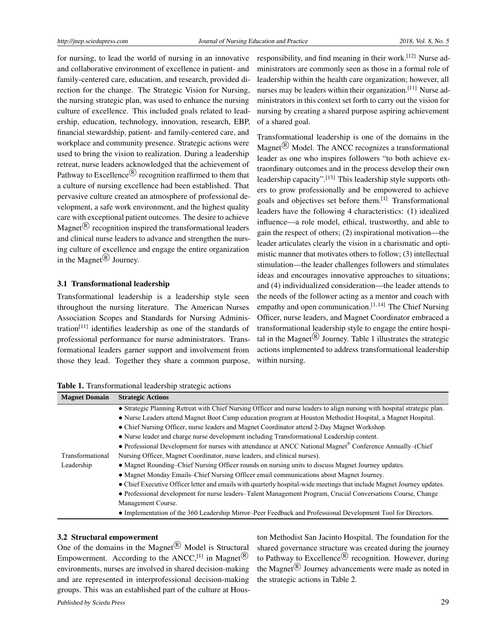for nursing, to lead the world of nursing in an innovative and collaborative environment of excellence in patient- and family-centered care, education, and research, provided direction for the change. The Strategic Vision for Nursing, the nursing strategic plan, was used to enhance the nursing culture of excellence. This included goals related to leadership, education, technology, innovation, research, EBP, financial stewardship, patient- and family-centered care, and workplace and community presence. Strategic actions were used to bring the vision to realization. During a leadership retreat, nurse leaders acknowledged that the achievement of Pathway to Excellence $\overline{R}$  recognition reaffirmed to them that a culture of nursing excellence had been established. That pervasive culture created an atmosphere of professional development, a safe work environment, and the highest quality care with exceptional patient outcomes. The desire to achieve Magnet $\overline{R}$  recognition inspired the transformational leaders and clinical nurse leaders to advance and strengthen the nursing culture of excellence and engage the entire organization in the Magnet $\overline{R}$  Journey.

#### 3.1 Transformational leadership

Transformational leadership is a leadership style seen throughout the nursing literature. The American Nurses Association Scopes and Standards for Nursing Adminis-tration<sup>[\[11\]](#page-11-4)</sup> identifies leadership as one of the standards of professional performance for nurse administrators. Transformational leaders garner support and involvement from those they lead. Together they share a common purpose, responsibility, and find meaning in their work.[\[12\]](#page-11-5) Nurse administrators are commonly seen as those in a formal role of leadership within the health care organization; however, all nurses may be leaders within their organization.[\[11\]](#page-11-4) Nurse administrators in this context set forth to carry out the vision for nursing by creating a shared purpose aspiring achievement of a shared goal.

Transformational leadership is one of the domains in the Magnet<sup>( $\&$ </sup> Model. The ANCC recognizes a transformational leader as one who inspires followers "to both achieve extraordinary outcomes and in the process develop their own leadership capacity".[\[13\]](#page-11-6) This leadership style supports others to grow professionally and be empowered to achieve goals and objectives set before them.[\[1\]](#page-10-0) Transformational leaders have the following 4 characteristics: (1) idealized influence—a role model, ethical, trustworthy, and able to gain the respect of others; (2) inspirational motivation—the leader articulates clearly the vision in a charismatic and optimistic manner that motivates others to follow; (3) intellectual stimulation—the leader challenges followers and stimulates ideas and encourages innovative approaches to situations; and (4) individualized consideration—the leader attends to the needs of the follower acting as a mentor and coach with empathy and open communication.<sup>[\[1,](#page-10-0) [14\]](#page-11-7)</sup> The Chief Nursing Officer, nurse leaders, and Magnet Coordinator embraced a transformational leadership style to engage the entire hospital in the Magnet $\overline{R}$  Journey. Table 1 illustrates the strategic actions implemented to address transformational leadership within nursing.

| Table 1. Transformational leadership strategic actions |  |
|--------------------------------------------------------|--|

| <b>Magnet Domain</b> | <b>Strategic Actions</b>                                                                                                 |
|----------------------|--------------------------------------------------------------------------------------------------------------------------|
|                      | • Strategic Planning Retreat with Chief Nursing Officer and nurse leaders to align nursing with hospital strategic plan. |
|                      | • Nurse Leaders attend Magnet Boot Camp education program at Houston Methodist Hospital, a Magnet Hospital.              |
|                      | • Chief Nursing Officer, nurse leaders and Magnet Coordinator attend 2-Day Magnet Workshop.                              |
|                      | • Nurse leader and charge nurse development including Transformational Leadership content.                               |
|                      | • Professional Development for nurses with attendance at ANCC National Magnet <sup>®</sup> Conference Annually–(Chief    |
| Transformational     | Nursing Officer, Magnet Coordinator, nurse leaders, and clinical nurses).                                                |
| Leadership           | • Magnet Rounding–Chief Nursing Officer rounds on nursing units to discuss Magnet Journey updates.                       |
|                      | • Magnet Monday Emails–Chief Nursing Officer email communications about Magnet Journey.                                  |
|                      | • Chief Executive Officer letter and emails with quarterly hospital-wide meetings that include Magnet Journey updates.   |
|                      | • Professional development for nurse leaders–Talent Management Program, Crucial Conversations Course, Change             |
|                      | Management Course.                                                                                                       |
|                      | • Implementation of the 360 Leadership Mirror-Peer Feedback and Professional Development Tool for Directors.             |

#### 3.2 Structural empowerment

One of the domains in the Magnet $\overline{R}$  Model is Structural Empowerment. According to the ANCC,<sup>[\[1\]](#page-10-0)</sup> in Magnet<sup>®</sup> environments, nurses are involved in shared decision-making and are represented in interprofessional decision-making groups. This was an established part of the culture at Hous-

ton Methodist San Jacinto Hospital. The foundation for the shared governance structure was created during the journey to Pathway to Excellence<sup>®</sup> recognition. However, during the Magnet $\overline{R}$  Journey advancements were made as noted in the strategic actions in Table 2.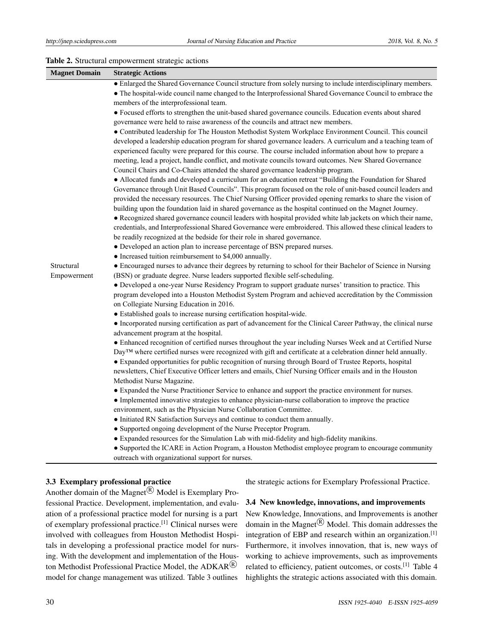#### Table 2. Structural empowerment strategic actions

| <b>Magnet Domain</b>      | <b>Strategic Actions</b>                                                                                                                                                                                                                                                                                                                                                                                                                                                                                                                                                                                                                                                                                                                                                                                                                                                                                                                                                                                                                                                                                                                                                                                                                                                                                                                                                                                                                                                                                                                                                                                                                                                                                                                                                                                                                                      |
|---------------------------|---------------------------------------------------------------------------------------------------------------------------------------------------------------------------------------------------------------------------------------------------------------------------------------------------------------------------------------------------------------------------------------------------------------------------------------------------------------------------------------------------------------------------------------------------------------------------------------------------------------------------------------------------------------------------------------------------------------------------------------------------------------------------------------------------------------------------------------------------------------------------------------------------------------------------------------------------------------------------------------------------------------------------------------------------------------------------------------------------------------------------------------------------------------------------------------------------------------------------------------------------------------------------------------------------------------------------------------------------------------------------------------------------------------------------------------------------------------------------------------------------------------------------------------------------------------------------------------------------------------------------------------------------------------------------------------------------------------------------------------------------------------------------------------------------------------------------------------------------------------|
|                           | • Enlarged the Shared Governance Council structure from solely nursing to include interdisciplinary members.<br>• The hospital-wide council name changed to the Interprofessional Shared Governance Council to embrace the<br>members of the interprofessional team.                                                                                                                                                                                                                                                                                                                                                                                                                                                                                                                                                                                                                                                                                                                                                                                                                                                                                                                                                                                                                                                                                                                                                                                                                                                                                                                                                                                                                                                                                                                                                                                          |
|                           | • Focused efforts to strengthen the unit-based shared governance councils. Education events about shared                                                                                                                                                                                                                                                                                                                                                                                                                                                                                                                                                                                                                                                                                                                                                                                                                                                                                                                                                                                                                                                                                                                                                                                                                                                                                                                                                                                                                                                                                                                                                                                                                                                                                                                                                      |
|                           | governance were held to raise awareness of the councils and attract new members.                                                                                                                                                                                                                                                                                                                                                                                                                                                                                                                                                                                                                                                                                                                                                                                                                                                                                                                                                                                                                                                                                                                                                                                                                                                                                                                                                                                                                                                                                                                                                                                                                                                                                                                                                                              |
| Structural<br>Empowerment | • Contributed leadership for The Houston Methodist System Workplace Environment Council. This council<br>developed a leadership education program for shared governance leaders. A curriculum and a teaching team of<br>experienced faculty were prepared for this course. The course included information about how to prepare a<br>meeting, lead a project, handle conflict, and motivate councils toward outcomes. New Shared Governance<br>Council Chairs and Co-Chairs attended the shared governance leadership program.<br>• Allocated funds and developed a curriculum for an education retreat "Building the Foundation for Shared<br>Governance through Unit Based Councils". This program focused on the role of unit-based council leaders and<br>provided the necessary resources. The Chief Nursing Officer provided opening remarks to share the vision of<br>building upon the foundation laid in shared governance as the hospital continued on the Magnet Journey.<br>• Recognized shared governance council leaders with hospital provided white lab jackets on which their name,<br>credentials, and Interprofessional Shared Governance were embroidered. This allowed these clinical leaders to<br>be readily recognized at the bedside for their role in shared governance.<br>• Developed an action plan to increase percentage of BSN prepared nurses.<br>• Increased tuition reimbursement to \$4,000 annually.<br>• Encouraged nurses to advance their degrees by returning to school for their Bachelor of Science in Nursing<br>(BSN) or graduate degree. Nurse leaders supported flexible self-scheduling.<br>• Developed a one-year Nurse Residency Program to support graduate nurses' transition to practice. This<br>program developed into a Houston Methodist System Program and achieved accreditation by the Commission |
|                           | on Collegiate Nursing Education in 2016.                                                                                                                                                                                                                                                                                                                                                                                                                                                                                                                                                                                                                                                                                                                                                                                                                                                                                                                                                                                                                                                                                                                                                                                                                                                                                                                                                                                                                                                                                                                                                                                                                                                                                                                                                                                                                      |
|                           | • Established goals to increase nursing certification hospital-wide.                                                                                                                                                                                                                                                                                                                                                                                                                                                                                                                                                                                                                                                                                                                                                                                                                                                                                                                                                                                                                                                                                                                                                                                                                                                                                                                                                                                                                                                                                                                                                                                                                                                                                                                                                                                          |
|                           | • Incorporated nursing certification as part of advancement for the Clinical Career Pathway, the clinical nurse<br>advancement program at the hospital.                                                                                                                                                                                                                                                                                                                                                                                                                                                                                                                                                                                                                                                                                                                                                                                                                                                                                                                                                                                                                                                                                                                                                                                                                                                                                                                                                                                                                                                                                                                                                                                                                                                                                                       |
|                           | • Enhanced recognition of certified nurses throughout the year including Nurses Week and at Certified Nurse<br>Day™ where certified nurses were recognized with gift and certificate at a celebration dinner held annually.<br>• Expanded opportunities for public recognition of nursing through Board of Trustee Reports, hospital<br>newsletters, Chief Executive Officer letters and emails, Chief Nursing Officer emails and in the Houston<br>Methodist Nurse Magazine.                                                                                                                                                                                                                                                                                                                                                                                                                                                                                                                                                                                                                                                                                                                                                                                                                                                                                                                                                                                                                                                                                                                                                                                                                                                                                                                                                                                 |
|                           | • Expanded the Nurse Practitioner Service to enhance and support the practice environment for nurses.                                                                                                                                                                                                                                                                                                                                                                                                                                                                                                                                                                                                                                                                                                                                                                                                                                                                                                                                                                                                                                                                                                                                                                                                                                                                                                                                                                                                                                                                                                                                                                                                                                                                                                                                                         |
|                           | • Implemented innovative strategies to enhance physician-nurse collaboration to improve the practice                                                                                                                                                                                                                                                                                                                                                                                                                                                                                                                                                                                                                                                                                                                                                                                                                                                                                                                                                                                                                                                                                                                                                                                                                                                                                                                                                                                                                                                                                                                                                                                                                                                                                                                                                          |
|                           | environment, such as the Physician Nurse Collaboration Committee.<br>• Initiated RN Satisfaction Surveys and continue to conduct them annually.                                                                                                                                                                                                                                                                                                                                                                                                                                                                                                                                                                                                                                                                                                                                                                                                                                                                                                                                                                                                                                                                                                                                                                                                                                                                                                                                                                                                                                                                                                                                                                                                                                                                                                               |
|                           | • Supported ongoing development of the Nurse Preceptor Program.                                                                                                                                                                                                                                                                                                                                                                                                                                                                                                                                                                                                                                                                                                                                                                                                                                                                                                                                                                                                                                                                                                                                                                                                                                                                                                                                                                                                                                                                                                                                                                                                                                                                                                                                                                                               |
|                           | • Expanded resources for the Simulation Lab with mid-fidelity and high-fidelity manikins.                                                                                                                                                                                                                                                                                                                                                                                                                                                                                                                                                                                                                                                                                                                                                                                                                                                                                                                                                                                                                                                                                                                                                                                                                                                                                                                                                                                                                                                                                                                                                                                                                                                                                                                                                                     |
|                           | • Supported the ICARE in Action Program, a Houston Methodist employee program to encourage community                                                                                                                                                                                                                                                                                                                                                                                                                                                                                                                                                                                                                                                                                                                                                                                                                                                                                                                                                                                                                                                                                                                                                                                                                                                                                                                                                                                                                                                                                                                                                                                                                                                                                                                                                          |
|                           | outreach with organizational support for nurses.                                                                                                                                                                                                                                                                                                                                                                                                                                                                                                                                                                                                                                                                                                                                                                                                                                                                                                                                                                                                                                                                                                                                                                                                                                                                                                                                                                                                                                                                                                                                                                                                                                                                                                                                                                                                              |

## 3.3 Exemplary professional practice

Another domain of the Magnet<sup> $\circledR$ </sup> Model is Exemplary Professional Practice. Development, implementation, and evaluation of a professional practice model for nursing is a part of exemplary professional practice.[\[1\]](#page-10-0) Clinical nurses were involved with colleagues from Houston Methodist Hospitals in developing a professional practice model for nursing. With the development and implementation of the Houston Methodist Professional Practice Model, the ADKAR $\mathbb{R}$ model for change management was utilized. Table 3 outlines

the strategic actions for Exemplary Professional Practice.

#### 3.4 New knowledge, innovations, and improvements

New Knowledge, Innovations, and Improvements is another domain in the Magnet $\binom{R}{k}$  Model. This domain addresses the integration of EBP and research within an organization.[\[1\]](#page-10-0) Furthermore, it involves innovation, that is, new ways of working to achieve improvements, such as improvements related to efficiency, patient outcomes, or costs.<sup>[\[1\]](#page-10-0)</sup> Table 4 highlights the strategic actions associated with this domain.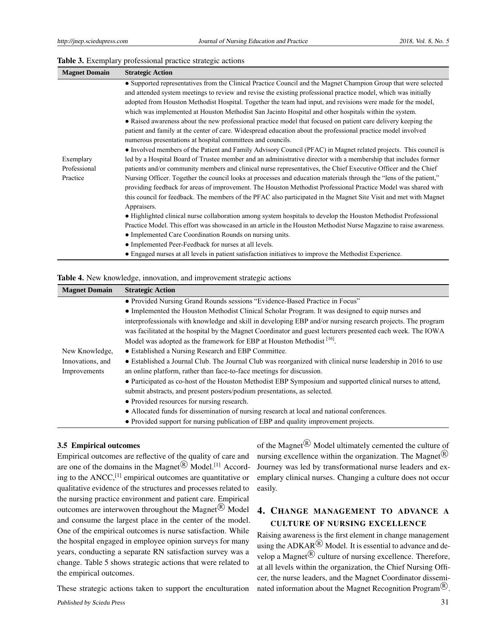#### Table 3. Exemplary professional practice strategic actions

| <b>Magnet Domain</b> | <b>Strategic Action</b>                                                                                             |  |  |  |  |
|----------------------|---------------------------------------------------------------------------------------------------------------------|--|--|--|--|
|                      | • Supported representatives from the Clinical Practice Council and the Magnet Champion Group that were selected     |  |  |  |  |
|                      | and attended system meetings to review and revise the existing professional practice model, which was initially     |  |  |  |  |
|                      | adopted from Houston Methodist Hospital. Together the team had input, and revisions were made for the model,        |  |  |  |  |
|                      | which was implemented at Houston Methodist San Jacinto Hospital and other hospitals within the system.              |  |  |  |  |
|                      | • Raised awareness about the new professional practice model that focused on patient care delivery keeping the      |  |  |  |  |
|                      | patient and family at the center of care. Widespread education about the professional practice model involved       |  |  |  |  |
|                      | numerous presentations at hospital committees and councils.                                                         |  |  |  |  |
|                      | • Involved members of the Patient and Family Advisory Council (PFAC) in Magnet related projects. This council is    |  |  |  |  |
| Exemplary            | led by a Hospital Board of Trustee member and an administrative director with a membership that includes former     |  |  |  |  |
| Professional         | patients and/or community members and clinical nurse representatives, the Chief Executive Officer and the Chief     |  |  |  |  |
| Practice             | Nursing Officer. Together the council looks at processes and education materials through the "lens of the patient," |  |  |  |  |
|                      | providing feedback for areas of improvement. The Houston Methodist Professional Practice Model was shared with      |  |  |  |  |
|                      | this council for feedback. The members of the PFAC also participated in the Magnet Site Visit and met with Magnet   |  |  |  |  |
|                      | Appraisers.                                                                                                         |  |  |  |  |
|                      | • Highlighted clinical nurse collaboration among system hospitals to develop the Houston Methodist Professional     |  |  |  |  |
|                      | Practice Model. This effort was showcased in an article in the Houston Methodist Nurse Magazine to raise awareness. |  |  |  |  |
|                      | • Implemented Care Coordination Rounds on nursing units.                                                            |  |  |  |  |
|                      | • Implemented Peer-Feedback for nurses at all levels.                                                               |  |  |  |  |
|                      | • Engaged nurses at all levels in patient satisfaction initiatives to improve the Methodist Experience.             |  |  |  |  |

|  |  | Table 4. New knowledge, innovation, and improvement strategic actions |  |
|--|--|-----------------------------------------------------------------------|--|
|  |  |                                                                       |  |

| <b>Magnet Domain</b> | <b>Strategic Action</b>                                                                                      |
|----------------------|--------------------------------------------------------------------------------------------------------------|
|                      | • Provided Nursing Grand Rounds sessions "Evidence-Based Practice in Focus"                                  |
|                      | • Implemented the Houston Methodist Clinical Scholar Program. It was designed to equip nurses and            |
|                      | interprofessionals with knowledge and skill in developing EBP and/or nursing research projects. The program  |
|                      | was facilitated at the hospital by the Magnet Coordinator and guest lecturers presented each week. The IOWA  |
|                      | Model was adopted as the framework for EBP at Houston Methodist <sup>[16]</sup> .                            |
| New Knowledge.       | • Established a Nursing Research and EBP Committee.                                                          |
| Innovations, and     | • Established a Journal Club. The Journal Club was reorganized with clinical nurse leadership in 2016 to use |
| Improvements         | an online platform, rather than face-to-face meetings for discussion.                                        |
|                      | • Participated as co-host of the Houston Methodist EBP Symposium and supported clinical nurses to attend,    |
|                      | submit abstracts, and present posters/podium presentations, as selected.                                     |
|                      | • Provided resources for nursing research.                                                                   |
|                      | • Allocated funds for dissemination of nursing research at local and national conferences.                   |
|                      | • Provided support for nursing publication of EBP and quality improvement projects.                          |

#### 3.5 Empirical outcomes

Empirical outcomes are reflective of the quality of care and are one of the domains in the Magnet $\mathbb{R}^{\mathbb{R}}$  Model.<sup>[\[1\]](#page-10-0)</sup> Accord-ing to the ANCC,<sup>[\[1\]](#page-10-0)</sup> empirical outcomes are quantitative or qualitative evidence of the structures and processes related to the nursing practice environment and patient care. Empirical outcomes are interwoven throughout the Magnet $\stackrel{(B)}{\sim}$  Model and consume the largest place in the center of the model. One of the empirical outcomes is nurse satisfaction. While the hospital engaged in employee opinion surveys for many years, conducting a separate RN satisfaction survey was a change. Table 5 shows strategic actions that were related to the empirical outcomes.

These strategic actions taken to support the enculturation

of the Magnet  $\mathbb{R}$  Model ultimately cemented the culture of nursing excellence within the organization. The Magnet<sup> $(R)$ </sup> Journey was led by transformational nurse leaders and exemplary clinical nurses. Changing a culture does not occur easily.

## 4. CHANGE MANAGEMENT TO ADVANCE A CULTURE OF NURSING EXCELLENCE

Raising awareness is the first element in change management using the ADKAR $\mathbb{R}$  Model. It is essential to advance and develop a Magnet<sup>®</sup> culture of nursing excellence. Therefore, at all levels within the organization, the Chief Nursing Officer, the nurse leaders, and the Magnet Coordinator disseminated information about the Magnet Recognition Program $^{\circledR}$ .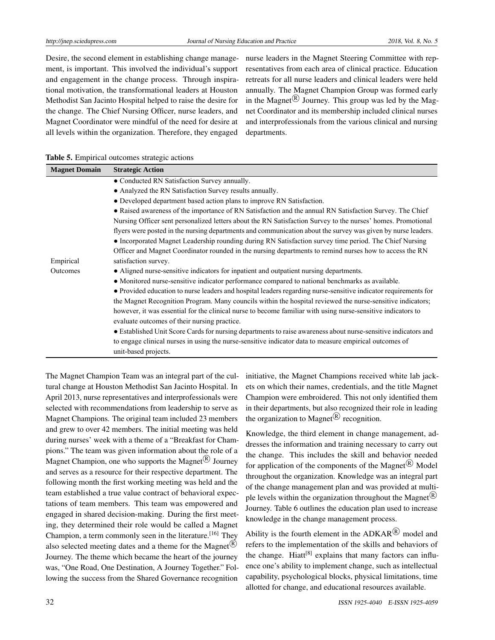Desire, the second element in establishing change management, is important. This involved the individual's support and engagement in the change process. Through inspirational motivation, the transformational leaders at Houston Methodist San Jacinto Hospital helped to raise the desire for the change. The Chief Nursing Officer, nurse leaders, and Magnet Coordinator were mindful of the need for desire at all levels within the organization. Therefore, they engaged

nurse leaders in the Magnet Steering Committee with representatives from each area of clinical practice. Education retreats for all nurse leaders and clinical leaders were held annually. The Magnet Champion Group was formed early in the Magnet<sup>( $\overline{R}$ </sup>) Journey. This group was led by the Magnet Coordinator and its membership included clinical nurses and interprofessionals from the various clinical and nursing departments.

| Table 5. Empirical outcomes strategic actions |  |  |  |  |
|-----------------------------------------------|--|--|--|--|
|-----------------------------------------------|--|--|--|--|

| <b>Strategic Action</b>                                                                                         |  |  |  |  |
|-----------------------------------------------------------------------------------------------------------------|--|--|--|--|
| • Conducted RN Satisfaction Survey annually.                                                                    |  |  |  |  |
| • Analyzed the RN Satisfaction Survey results annually.                                                         |  |  |  |  |
| • Developed department based action plans to improve RN Satisfaction.                                           |  |  |  |  |
| • Raised awareness of the importance of RN Satisfaction and the annual RN Satisfaction Survey. The Chief        |  |  |  |  |
| Nursing Officer sent personalized letters about the RN Satisfaction Survey to the nurses' homes. Promotional    |  |  |  |  |
| flyers were posted in the nursing departments and communication about the survey was given by nurse leaders.    |  |  |  |  |
| • Incorporated Magnet Leadership rounding during RN Satisfaction survey time period. The Chief Nursing          |  |  |  |  |
| Officer and Magnet Coordinator rounded in the nursing departments to remind nurses how to access the RN         |  |  |  |  |
| satisfaction survey.                                                                                            |  |  |  |  |
| • Aligned nurse-sensitive indicators for inpatient and outpatient nursing departments.                          |  |  |  |  |
| • Monitored nurse-sensitive indicator performance compared to national benchmarks as available.                 |  |  |  |  |
| • Provided education to nurse leaders and hospital leaders regarding nurse-sensitive indicator requirements for |  |  |  |  |
| the Magnet Recognition Program. Many councils within the hospital reviewed the nurse-sensitive indicators;      |  |  |  |  |
| however, it was essential for the clinical nurse to become familiar with using nurse-sensitive indicators to    |  |  |  |  |
| evaluate outcomes of their nursing practice.                                                                    |  |  |  |  |
| • Established Unit Score Cards for nursing departments to raise awareness about nurse-sensitive indicators and  |  |  |  |  |
| to engage clinical nurses in using the nurse-sensitive indicator data to measure empirical outcomes of          |  |  |  |  |
| unit-based projects.                                                                                            |  |  |  |  |
|                                                                                                                 |  |  |  |  |

The Magnet Champion Team was an integral part of the cultural change at Houston Methodist San Jacinto Hospital. In April 2013, nurse representatives and interprofessionals were selected with recommendations from leadership to serve as Magnet Champions. The original team included 23 members and grew to over 42 members. The initial meeting was held during nurses' week with a theme of a "Breakfast for Champions." The team was given information about the role of a Magnet Champion, one who supports the Magnet $(\widehat{R})$  Journey and serves as a resource for their respective department. The following month the first working meeting was held and the team established a true value contract of behavioral expectations of team members. This team was empowered and engaged in shared decision-making. During the first meeting, they determined their role would be called a Magnet Champion, a term commonly seen in the literature.<sup>[\[16\]](#page-11-8)</sup> They also selected meeting dates and a theme for the Magnet $(\mathbb{R})$ Journey. The theme which became the heart of the journey was, "One Road, One Destination, A Journey Together." Following the success from the Shared Governance recognition

initiative, the Magnet Champions received white lab jackets on which their names, credentials, and the title Magnet Champion were embroidered. This not only identified them in their departments, but also recognized their role in leading the organization to Magnet $\overline{R}$  recognition.

Knowledge, the third element in change management, addresses the information and training necessary to carry out the change. This includes the skill and behavior needed for application of the components of the Magnet $\stackrel{(B)}{\sim}$  Model throughout the organization. Knowledge was an integral part of the change management plan and was provided at multiple levels within the organization throughout the Magnet<sup>(R)</sup> Journey. Table 6 outlines the education plan used to increase knowledge in the change management process.

Ability is the fourth element in the  $ADKAR^{\textcircled{R}}$  model and refers to the implementation of the skills and behaviors of the change. Hiatt<sup>[\[8\]](#page-11-1)</sup> explains that many factors can influence one's ability to implement change, such as intellectual capability, psychological blocks, physical limitations, time allotted for change, and educational resources available.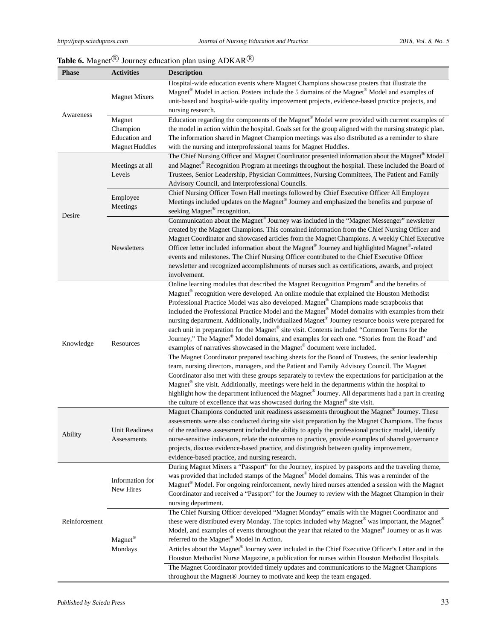## **Table 6.** Magnet<sup>( $\overline{R}$ ) Journey education plan using ADKAR<sup>( $\overline{R}$ )</sup></sup>

| <b>Phase</b>  | <b>Activities</b>                    | <b>Description</b>                                                                                                                                                                                                                                                                                                                                                                                                                                                                                                                                                                                                                                                                                                                                                              |  |
|---------------|--------------------------------------|---------------------------------------------------------------------------------------------------------------------------------------------------------------------------------------------------------------------------------------------------------------------------------------------------------------------------------------------------------------------------------------------------------------------------------------------------------------------------------------------------------------------------------------------------------------------------------------------------------------------------------------------------------------------------------------------------------------------------------------------------------------------------------|--|
| Awareness     | <b>Magnet Mixers</b>                 | Hospital-wide education events where Magnet Champions showcase posters that illustrate the<br>Magnet <sup>®</sup> Model in action. Posters include the 5 domains of the Magnet <sup>®</sup> Model and examples of<br>unit-based and hospital-wide quality improvement projects, evidence-based practice projects, and<br>nursing research.                                                                                                                                                                                                                                                                                                                                                                                                                                      |  |
|               | Magnet                               | Education regarding the components of the Magnet® Model were provided with current examples of                                                                                                                                                                                                                                                                                                                                                                                                                                                                                                                                                                                                                                                                                  |  |
|               | Champion                             | the model in action within the hospital. Goals set for the group aligned with the nursing strategic plan.                                                                                                                                                                                                                                                                                                                                                                                                                                                                                                                                                                                                                                                                       |  |
|               | Education and                        | The information shared in Magnet Champion meetings was also distributed as a reminder to share                                                                                                                                                                                                                                                                                                                                                                                                                                                                                                                                                                                                                                                                                  |  |
|               | <b>Magnet Huddles</b>                | with the nursing and interprofessional teams for Magnet Huddles.                                                                                                                                                                                                                                                                                                                                                                                                                                                                                                                                                                                                                                                                                                                |  |
|               | Meetings at all<br>Levels            | The Chief Nursing Officer and Magnet Coordinator presented information about the Magnet® Model<br>and Magnet® Recognition Program at meetings throughout the hospital. These included the Board of<br>Trustees, Senior Leadership, Physician Committees, Nursing Committees, The Patient and Family<br>Advisory Council, and Interprofessional Councils.                                                                                                                                                                                                                                                                                                                                                                                                                        |  |
|               |                                      | Chief Nursing Officer Town Hall meetings followed by Chief Executive Officer All Employee                                                                                                                                                                                                                                                                                                                                                                                                                                                                                                                                                                                                                                                                                       |  |
|               | Employee<br>Meetings                 | Meetings included updates on the Magnet® Journey and emphasized the benefits and purpose of<br>seeking Magnet® recognition.                                                                                                                                                                                                                                                                                                                                                                                                                                                                                                                                                                                                                                                     |  |
| Desire        | Newsletters                          | Communication about the Magnet® Journey was included in the "Magnet Messenger" newsletter<br>created by the Magnet Champions. This contained information from the Chief Nursing Officer and<br>Magnet Coordinator and showcased articles from the Magnet Champions. A weekly Chief Executive<br>Officer letter included information about the Magnet® Journey and highlighted Magnet®-related<br>events and milestones. The Chief Nursing Officer contributed to the Chief Executive Officer<br>newsletter and recognized accomplishments of nurses such as certifications, awards, and project<br>involvement.                                                                                                                                                                 |  |
| Knowledge     | Resources                            | Online learning modules that described the Magnet Recognition Program® and the benefits of<br>Magnet <sup>®</sup> recognition were developed. An online module that explained the Houston Methodist<br>Professional Practice Model was also developed. Magnet® Champions made scrapbooks that<br>included the Professional Practice Model and the Magnet® Model domains with examples from their<br>nursing department. Additionally, individualized Magnet® Journey resource books were prepared for<br>each unit in preparation for the Magnet® site visit. Contents included "Common Terms for the<br>Journey," The Magnet® Model domains, and examples for each one. "Stories from the Road" and<br>examples of narratives showcased in the Magnet® document were included. |  |
|               |                                      | The Magnet Coordinator prepared teaching sheets for the Board of Trustees, the senior leadership<br>team, nursing directors, managers, and the Patient and Family Advisory Council. The Magnet<br>Coordinator also met with these groups separately to review the expectations for participation at the<br>Magnet <sup>®</sup> site visit. Additionally, meetings were held in the departments within the hospital to<br>highlight how the department influenced the Magnet® Journey. All departments had a part in creating<br>the culture of excellence that was showcased during the Magnet® site visit.                                                                                                                                                                     |  |
| Ability       | <b>Unit Readiness</b><br>Assessments | Magnet Champions conducted unit readiness assessments throughout the Magnet® Journey. These<br>assessments were also conducted during site visit preparation by the Magnet Champions. The focus<br>of the readiness assessment included the ability to apply the professional practice model, identify<br>nurse-sensitive indicators, relate the outcomes to practice, provide examples of shared governance<br>projects, discuss evidence-based practice, and distinguish between quality improvement,<br>evidence-based practice, and nursing research.                                                                                                                                                                                                                       |  |
| Reinforcement | Information for<br>New Hires         | During Magnet Mixers a "Passport" for the Journey, inspired by passports and the traveling theme,<br>was provided that included stamps of the Magnet® Model domains. This was a reminder of the<br>Magnet® Model. For ongoing reinforcement, newly hired nurses attended a session with the Magnet<br>Coordinator and received a "Passport" for the Journey to review with the Magnet Champion in their<br>nursing department.                                                                                                                                                                                                                                                                                                                                                  |  |
|               | Magnet <sup>®</sup><br>Mondays       | The Chief Nursing Officer developed "Magnet Monday" emails with the Magnet Coordinator and<br>these were distributed every Monday. The topics included why Magnet® was important, the Magnet®<br>Model, and examples of events throughout the year that related to the Magnet® Journey or as it was<br>referred to the Magnet® Model in Action.<br>Articles about the Magnet® Journey were included in the Chief Executive Officer's Letter and in the<br>Houston Methodist Nurse Magazine, a publication for nurses within Houston Methodist Hospitals.<br>The Magnet Coordinator provided timely updates and communications to the Magnet Champions                                                                                                                           |  |
|               |                                      | throughout the Magnet® Journey to motivate and keep the team engaged.                                                                                                                                                                                                                                                                                                                                                                                                                                                                                                                                                                                                                                                                                                           |  |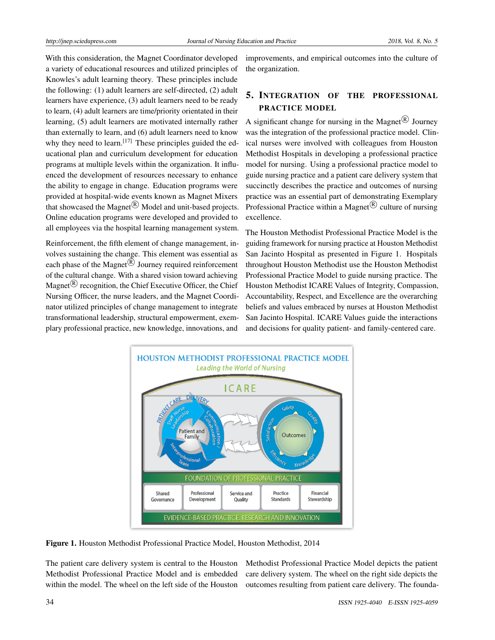With this consideration, the Magnet Coordinator developed a variety of educational resources and utilized principles of Knowles's adult learning theory. These principles include the following: (1) adult learners are self-directed, (2) adult learners have experience, (3) adult learners need to be ready to learn, (4) adult learners are time/priority orientated in their learning, (5) adult learners are motivated internally rather than externally to learn, and (6) adult learners need to know why they need to learn.<sup>[\[17\]](#page-11-9)</sup> These principles guided the educational plan and curriculum development for education programs at multiple levels within the organization. It influenced the development of resources necessary to enhance the ability to engage in change. Education programs were provided at hospital-wide events known as Magnet Mixers that showcased the Magnet $\mathbb{R}$  Model and unit-based projects. Online education programs were developed and provided to all employees via the hospital learning management system.

Reinforcement, the fifth element of change management, involves sustaining the change. This element was essential as each phase of the Magnet  $\overline{B}$  Journey required reinforcement of the cultural change. With a shared vision toward achieving Magnet<sup>®</sup> recognition, the Chief Executive Officer, the Chief Nursing Officer, the nurse leaders, and the Magnet Coordinator utilized principles of change management to integrate transformational leadership, structural empowerment, exemplary professional practice, new knowledge, innovations, and

improvements, and empirical outcomes into the culture of the organization.

## 5. INTEGRATION OF THE PROFESSIONAL PRACTICE MODEL

A significant change for nursing in the Magnet $\overline{R}$  Journey was the integration of the professional practice model. Clinical nurses were involved with colleagues from Houston Methodist Hospitals in developing a professional practice model for nursing. Using a professional practice model to guide nursing practice and a patient care delivery system that succinctly describes the practice and outcomes of nursing practice was an essential part of demonstrating Exemplary Professional Practice within a Magnet $\overline{R}$  culture of nursing excellence.

The Houston Methodist Professional Practice Model is the guiding framework for nursing practice at Houston Methodist San Jacinto Hospital as presented in Figure 1. Hospitals throughout Houston Methodist use the Houston Methodist Professional Practice Model to guide nursing practice. The Houston Methodist ICARE Values of Integrity, Compassion, Accountability, Respect, and Excellence are the overarching beliefs and values embraced by nurses at Houston Methodist San Jacinto Hospital. ICARE Values guide the interactions and decisions for quality patient- and family-centered care.



Figure 1. Houston Methodist Professional Practice Model, Houston Methodist, 2014

The patient care delivery system is central to the Houston Methodist Professional Practice Model and is embedded within the model. The wheel on the left side of the Houston

Methodist Professional Practice Model depicts the patient care delivery system. The wheel on the right side depicts the outcomes resulting from patient care delivery. The founda-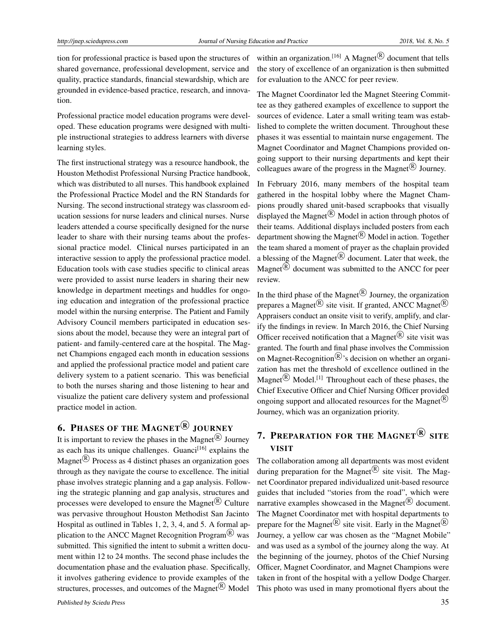tion for professional practice is based upon the structures of shared governance, professional development, service and quality, practice standards, financial stewardship, which are grounded in evidence-based practice, research, and innovation.

Professional practice model education programs were developed. These education programs were designed with multiple instructional strategies to address learners with diverse learning styles.

The first instructional strategy was a resource handbook, the Houston Methodist Professional Nursing Practice handbook, which was distributed to all nurses. This handbook explained the Professional Practice Model and the RN Standards for Nursing. The second instructional strategy was classroom education sessions for nurse leaders and clinical nurses. Nurse leaders attended a course specifically designed for the nurse leader to share with their nursing teams about the professional practice model. Clinical nurses participated in an interactive session to apply the professional practice model. Education tools with case studies specific to clinical areas were provided to assist nurse leaders in sharing their new knowledge in department meetings and huddles for ongoing education and integration of the professional practice model within the nursing enterprise. The Patient and Family Advisory Council members participated in education sessions about the model, because they were an integral part of patient- and family-centered care at the hospital. The Magnet Champions engaged each month in education sessions and applied the professional practice model and patient care delivery system to a patient scenario. This was beneficial to both the nurses sharing and those listening to hear and visualize the patient care delivery system and professional practice model in action.

# 6. Phases of the Magnet  $^\circledR$  journey

It is important to review the phases in the Magnet<sup>®</sup> Journey as each has its unique challenges. Guanci<sup>[\[16\]](#page-11-8)</sup> explains the Magnet $\mathbb{R}$  Process as 4 distinct phases an organization goes through as they navigate the course to excellence. The initial phase involves strategic planning and a gap analysis. Following the strategic planning and gap analysis, structures and processes were developed to ensure the Magnet $\mathbb{R}$  Culture was pervasive throughout Houston Methodist San Jacinto Hospital as outlined in Tables 1, 2, 3, 4, and 5. A formal application to the ANCC Magnet Recognition Program $\mathbb{R}^D$  was submitted. This signified the intent to submit a written document within 12 to 24 months. The second phase includes the documentation phase and the evaluation phase. Specifically, it involves gathering evidence to provide examples of the structures, processes, and outcomes of the Magnet $\rm(\mathbb{R})$  Model

within an organization.<sup>[\[16\]](#page-11-8)</sup> A Magnet<sup>®</sup> document that tells the story of excellence of an organization is then submitted for evaluation to the ANCC for peer review.

The Magnet Coordinator led the Magnet Steering Committee as they gathered examples of excellence to support the sources of evidence. Later a small writing team was established to complete the written document. Throughout these phases it was essential to maintain nurse engagement. The Magnet Coordinator and Magnet Champions provided ongoing support to their nursing departments and kept their colleagues aware of the progress in the Magnet<sup> $\circledR$ </sup> Journey.

In February 2016, many members of the hospital team gathered in the hospital lobby where the Magnet Champions proudly shared unit-based scrapbooks that visually displayed the Magnet $\stackrel{(R)}{=}$  Model in action through photos of their teams. Additional displays included posters from each department showing the Magnet $\mathbb{R}$  Model in action. Together the team shared a moment of prayer as the chaplain provided a blessing of the Magnet $\overline{R}$  document. Later that week, the Magnet $\overline{R}$  document was submitted to the ANCC for peer review.

In the third phase of the Magnet<sup> $\circledR$ </sup> Journey, the organization prepares a Magnet<sup>®</sup> site visit. If granted, ANCC Magnet<sup>®</sup> Appraisers conduct an onsite visit to verify, amplify, and clarify the findings in review. In March 2016, the Chief Nursing Officer received notification that a Magnet $\overline{R}$  site visit was granted. The fourth and final phase involves the Commission on Magnet-Recognition $\mathbb{R}$ 's decision on whether an organization has met the threshold of excellence outlined in the Magnet<sup>(R)</sup> Model.<sup>[\[1\]](#page-10-0)</sup> Throughout each of these phases, the Chief Executive Officer and Chief Nursing Officer provided ongoing support and allocated resources for the Magnet $(\mathbb{R})$ Journey, which was an organization priority.

## 7. PREPARATION FOR THE  $\mathrm{MAGNET}^{\textcircled{\textrm{R}}}$  site VISIT

The collaboration among all departments was most evident during preparation for the Magnet<sup>( $\overline{R}$ ) site visit. The Mag-</sup> net Coordinator prepared individualized unit-based resource guides that included "stories from the road", which were narrative examples showcased in the Magnet $\overline{R}$  document. The Magnet Coordinator met with hospital departments to prepare for the Magnet<sup>( $\overline{R}$ ) site visit. Early in the Magnet<sup>( $\overline{R}$ )</sup></sup> Journey, a yellow car was chosen as the "Magnet Mobile" and was used as a symbol of the journey along the way. At the beginning of the journey, photos of the Chief Nursing Officer, Magnet Coordinator, and Magnet Champions were taken in front of the hospital with a yellow Dodge Charger. This photo was used in many promotional flyers about the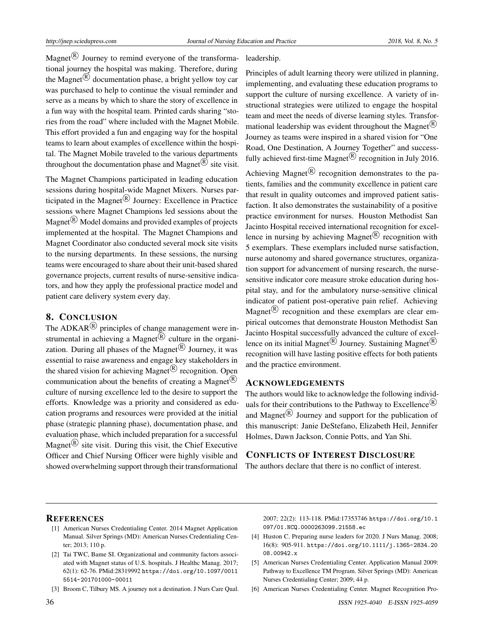Magnet $\stackrel{(i)}{\text{8}}$  Journey to remind everyone of the transformational journey the hospital was making. Therefore, during the Magnet $\overline{R}$  documentation phase, a bright yellow toy car was purchased to help to continue the visual reminder and serve as a means by which to share the story of excellence in a fun way with the hospital team. Printed cards sharing "stories from the road" where included with the Magnet Mobile. This effort provided a fun and engaging way for the hospital teams to learn about examples of excellence within the hospital. The Magnet Mobile traveled to the various departments throughout the documentation phase and Magnet $\overline{R}$  site visit.

The Magnet Champions participated in leading education sessions during hospital-wide Magnet Mixers. Nurses participated in the Magnet<sup>®</sup> Journey: Excellence in Practice sessions where Magnet Champions led sessions about the  $Magnet^{(R)}$  Model domains and provided examples of projects implemented at the hospital. The Magnet Champions and Magnet Coordinator also conducted several mock site visits to the nursing departments. In these sessions, the nursing teams were encouraged to share about their unit-based shared governance projects, current results of nurse-sensitive indicators, and how they apply the professional practice model and patient care delivery system every day.

#### 8. CONCLUSION

The ADKAR $\mathbb{\textcircled{R}}$  principles of change management were instrumental in achieving a Magnet $\overline{R}$  culture in the organization. During all phases of the Magnet $\overline{R}$  Journey, it was essential to raise awareness and engage key stakeholders in the shared vision for achieving Magnet<sup>®</sup> recognition. Open communication about the benefits of creating a Magnet<sup> $(R)$ </sup> culture of nursing excellence led to the desire to support the efforts. Knowledge was a priority and considered as education programs and resources were provided at the initial phase (strategic planning phase), documentation phase, and evaluation phase, which included preparation for a successful Magnet $\overline{R}$  site visit. During this visit, the Chief Executive Officer and Chief Nursing Officer were highly visible and showed overwhelming support through their transformational

#### leadership.

Principles of adult learning theory were utilized in planning, implementing, and evaluating these education programs to support the culture of nursing excellence. A variety of instructional strategies were utilized to engage the hospital team and meet the needs of diverse learning styles. Transformational leadership was evident throughout the Magnet<sup>( $\overline{R}$ )</sup> Journey as teams were inspired in a shared vision for "One Road, One Destination, A Journey Together" and successfully achieved first-time Magnet $\overline{R}$  recognition in July 2016.

Achieving Magnet $\stackrel{(p)}{=}$  recognition demonstrates to the patients, families and the community excellence in patient care that result in quality outcomes and improved patient satisfaction. It also demonstrates the sustainability of a positive practice environment for nurses. Houston Methodist San Jacinto Hospital received international recognition for excellence in nursing by achieving Magnet $\overline{R}$  recognition with 5 exemplars. These exemplars included nurse satisfaction, nurse autonomy and shared governance structures, organization support for advancement of nursing research, the nursesensitive indicator core measure stroke education during hospital stay, and for the ambulatory nurse-sensitive clinical indicator of patient post-operative pain relief. Achieving Magnet $\stackrel{\frown}{\mathbb{R}}$  recognition and these exemplars are clear empirical outcomes that demonstrate Houston Methodist San Jacinto Hospital successfully advanced the culture of excellence on its initial Magnet<sup>®</sup> Journey. Sustaining Magnet<sup>®</sup> recognition will have lasting positive effects for both patients and the practice environment.

#### ACKNOWLEDGEMENTS

The authors would like to acknowledge the following individuals for their contributions to the Pathway to Excellence<sup>(R)</sup> and Magnet $\overline{R}$  Journey and support for the publication of this manuscript: Janie DeStefano, Elizabeth Heil, Jennifer Holmes, Dawn Jackson, Connie Potts, and Yan Shi.

#### CONFLICTS OF INTEREST DISCLOSURE

The authors declare that there is no conflict of interest.

#### **REFERENCES**

- <span id="page-10-0"></span>[1] American Nurses Credentialing Center. 2014 Magnet Application Manual. Silver Springs (MD): American Nurses Credentialing Center; 2013; 110 p.
- <span id="page-10-1"></span>[2] Tai TWC, Bame SI. Organizational and community factors associated with Magnet status of U.S. hospitals. J Healthc Manag. 2017; 62(1): 62-76. PMid:28319992 [https://doi.org/10.1097/0011](https://doi.org/10.1097/00115514-201701000-00011) [5514-201701000-00011](https://doi.org/10.1097/00115514-201701000-00011)
- <span id="page-10-2"></span>[3] Broom C, Tilbury MS. A journey not a destination. J Nurs Care Qual.

2007; 22(2): 113-118. PMid:17353746 [https://doi.org/10.1](https://doi.org/10.1097/01.NCQ.0000263099.21558.ec) [097/01.NCQ.0000263099.21558.ec](https://doi.org/10.1097/01.NCQ.0000263099.21558.ec)

- <span id="page-10-3"></span>[4] Huston C. Preparing nurse leaders for 2020. J Nurs Manag. 2008; 16(8): 905-911. [https://doi.org/10.1111/j.1365-2834.20](https://doi.org/10.1111/j.1365-2834.2008.00942.x) [08.00942.x](https://doi.org/10.1111/j.1365-2834.2008.00942.x)
- <span id="page-10-4"></span>[5] American Nurses Credentialing Center. Application Manual 2009: Pathway to Excellence TM Program. Silver Springs (MD): American Nurses Credentialing Center; 2009; 44 p.
- <span id="page-10-5"></span>[6] American Nurses Credentialing Center. Magnet Recognition Pro-